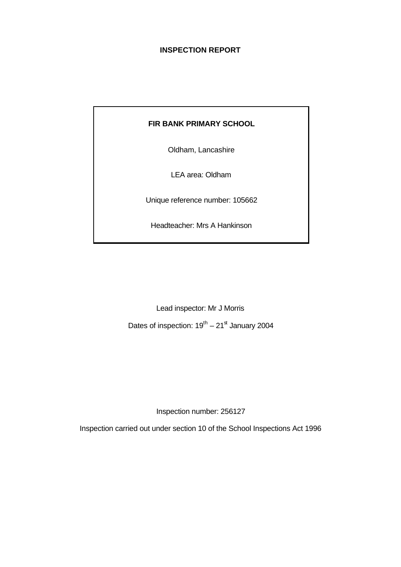# **INSPECTION REPORT**

# **FIR BANK PRIMARY SCHOOL**

Oldham, Lancashire

LEA area: Oldham

Unique reference number: 105662

Headteacher: Mrs A Hankinson

Lead inspector: Mr J Morris

Dates of inspection:  $19^{th} - 21^{st}$  January 2004

Inspection number: 256127

Inspection carried out under section 10 of the School Inspections Act 1996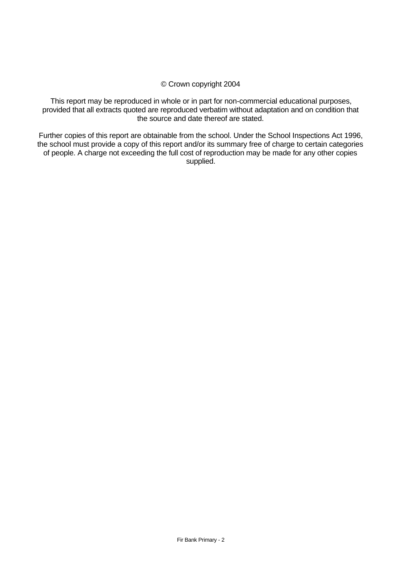## © Crown copyright 2004

This report may be reproduced in whole or in part for non-commercial educational purposes, provided that all extracts quoted are reproduced verbatim without adaptation and on condition that the source and date thereof are stated.

Further copies of this report are obtainable from the school. Under the School Inspections Act 1996, the school must provide a copy of this report and/or its summary free of charge to certain categories of people. A charge not exceeding the full cost of reproduction may be made for any other copies supplied.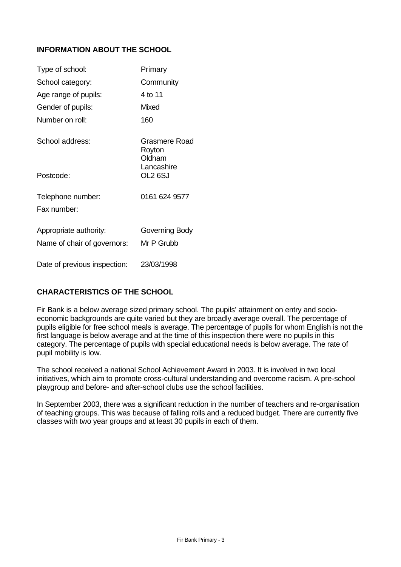# **INFORMATION ABOUT THE SCHOOL**

| Type of school:              | Primary                                         |
|------------------------------|-------------------------------------------------|
| School category:             | Community                                       |
| Age range of pupils:         | 4 to 11                                         |
| Gender of pupils:            | Mixed                                           |
| Number on roll:              | 160                                             |
| School address:              | Grasmere Road<br>Royton<br>Oldham<br>Lancashire |
| Postcode:                    | OL2 6SJ                                         |
| Telephone number:            | 0161 624 9577                                   |
| Fax number:                  |                                                 |
| Appropriate authority:       | Governing Body                                  |
| Name of chair of governors:  | Mr P Grubb                                      |
| Date of previous inspection: | 23/03/1998                                      |

## **CHARACTERISTICS OF THE SCHOOL**

Fir Bank is a below average sized primary school. The pupils' attainment on entry and socioeconomic backgrounds are quite varied but they are broadly average overall. The percentage of pupils eligible for free school meals is average. The percentage of pupils for whom English is not the first language is below average and at the time of this inspection there were no pupils in this category. The percentage of pupils with special educational needs is below average. The rate of pupil mobility is low.

The school received a national School Achievement Award in 2003. It is involved in two local initiatives, which aim to promote cross-cultural understanding and overcome racism. A pre-school playgroup and before- and after-school clubs use the school facilities.

In September 2003, there was a significant reduction in the number of teachers and re-organisation of teaching groups. This was because of falling rolls and a reduced budget. There are currently five classes with two year groups and at least 30 pupils in each of them.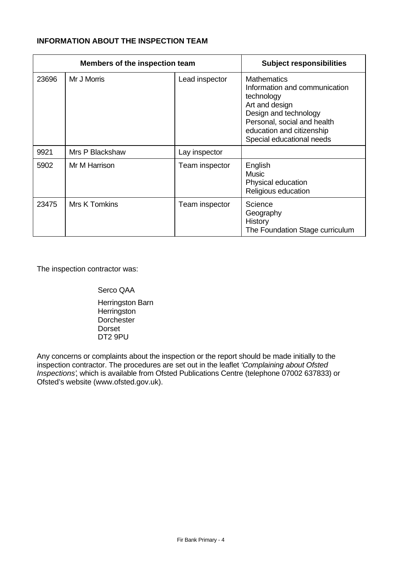# **INFORMATION ABOUT THE INSPECTION TEAM**

|       | Members of the inspection team | <b>Subject responsibilities</b> |                                                                                                                                                                                                       |
|-------|--------------------------------|---------------------------------|-------------------------------------------------------------------------------------------------------------------------------------------------------------------------------------------------------|
| 23696 | Mr J Morris                    | Lead inspector                  | <b>Mathematics</b><br>Information and communication<br>technology<br>Art and design<br>Design and technology<br>Personal, social and health<br>education and citizenship<br>Special educational needs |
| 9921  | Mrs P Blackshaw                | Lay inspector                   |                                                                                                                                                                                                       |
| 5902  | Mr M Harrison                  | Team inspector                  | English<br><b>Music</b><br>Physical education<br>Religious education                                                                                                                                  |
| 23475 | Mrs K Tomkins                  | Team inspector                  | Science<br>Geography<br>History<br>The Foundation Stage curriculum                                                                                                                                    |

The inspection contractor was:

Serco QAA Herringston Barn **Herringston Dorchester** Dorset DT2 9PU

Any concerns or complaints about the inspection or the report should be made initially to the inspection contractor. The procedures are set out in the leaflet *'Complaining about Ofsted Inspections'*, which is available from Ofsted Publications Centre (telephone 07002 637833) or Ofsted's website (www.ofsted.gov.uk).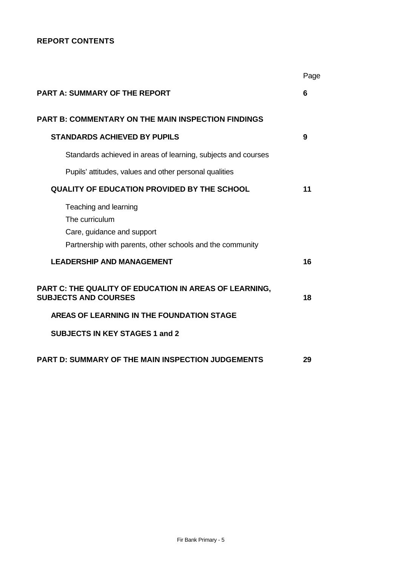# **REPORT CONTENTS**

|                                                                                                                                    | Page |
|------------------------------------------------------------------------------------------------------------------------------------|------|
| <b>PART A: SUMMARY OF THE REPORT</b>                                                                                               | 6    |
| <b>PART B: COMMENTARY ON THE MAIN INSPECTION FINDINGS</b>                                                                          |      |
| <b>STANDARDS ACHIEVED BY PUPILS</b>                                                                                                | 9    |
| Standards achieved in areas of learning, subjects and courses                                                                      |      |
| Pupils' attitudes, values and other personal qualities                                                                             |      |
| <b>QUALITY OF EDUCATION PROVIDED BY THE SCHOOL</b>                                                                                 | 11   |
| Teaching and learning<br>The curriculum<br>Care, guidance and support<br>Partnership with parents, other schools and the community |      |
| <b>LEADERSHIP AND MANAGEMENT</b>                                                                                                   | 16   |
| PART C: THE QUALITY OF EDUCATION IN AREAS OF LEARNING,<br><b>SUBJECTS AND COURSES</b>                                              | 18   |
| AREAS OF LEARNING IN THE FOUNDATION STAGE                                                                                          |      |
| <b>SUBJECTS IN KEY STAGES 1 and 2</b>                                                                                              |      |
| <b>PART D: SUMMARY OF THE MAIN INSPECTION JUDGEMENTS</b>                                                                           | 29   |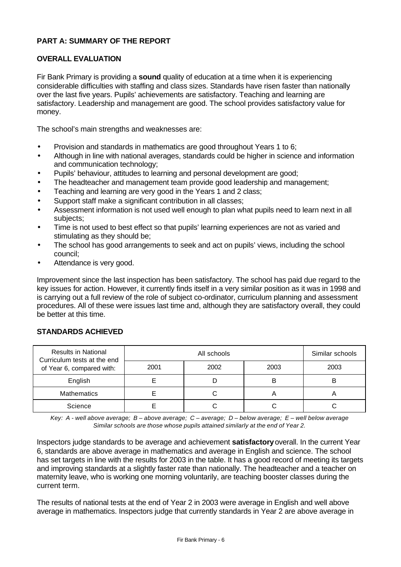# **PART A: SUMMARY OF THE REPORT**

## **OVERALL EVALUATION**

Fir Bank Primary is providing a **sound** quality of education at a time when it is experiencing considerable difficulties with staffing and class sizes. Standards have risen faster than nationally over the last five years. Pupils' achievements are satisfactory. Teaching and learning are satisfactory. Leadership and management are good. The school provides satisfactory value for money.

The school's main strengths and weaknesses are:

- Provision and standards in mathematics are good throughout Years 1 to 6;
- Although in line with national averages, standards could be higher in science and information and communication technology;
- Pupils' behaviour, attitudes to learning and personal development are good;
- The headteacher and management team provide good leadership and management;
- Teaching and learning are very good in the Years 1 and 2 class;
- Support staff make a significant contribution in all classes;
- Assessment information is not used well enough to plan what pupils need to learn next in all subjects:
- Time is not used to best effect so that pupils' learning experiences are not as varied and stimulating as they should be;
- The school has good arrangements to seek and act on pupils' views, including the school council;
- Attendance is very good.

Improvement since the last inspection has been satisfactory. The school has paid due regard to the key issues for action. However, it currently finds itself in a very similar position as it was in 1998 and is carrying out a full review of the role of subject co-ordinator, curriculum planning and assessment procedures. All of these were issues last time and, although they are satisfactory overall, they could be better at this time.

| <b>Results in National</b><br>Curriculum tests at the end |      | Similar schools |      |   |
|-----------------------------------------------------------|------|-----------------|------|---|
| of Year 6, compared with:                                 | 2002 | 2003            | 2003 |   |
| English                                                   |      |                 | В    | в |
| <b>Mathematics</b>                                        |      |                 |      |   |
| Science                                                   |      |                 |      |   |

#### **STANDARDS ACHIEVED**

*Key: A - well above average; B – above average; C – average; D – below average; E – well below average Similar schools are those whose pupils attained similarly at the end of Year 2.*

Inspectors judge standards to be average and achievement **satisfactory** overall. In the current Year 6, standards are above average in mathematics and average in English and science. The school has set targets in line with the results for 2003 in the table. It has a good record of meeting its targets and improving standards at a slightly faster rate than nationally. The headteacher and a teacher on maternity leave, who is working one morning voluntarily, are teaching booster classes during the current term.

The results of national tests at the end of Year 2 in 2003 were average in English and well above average in mathematics. Inspectors judge that currently standards in Year 2 are above average in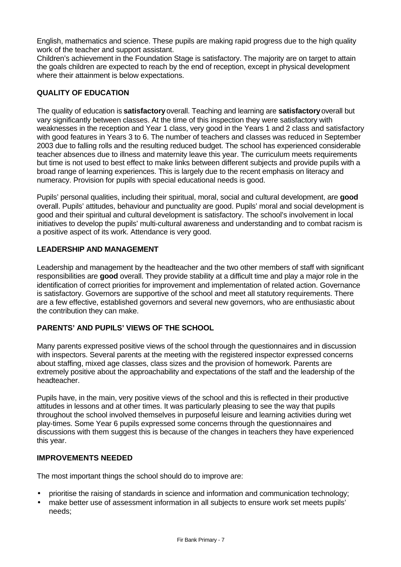English, mathematics and science. These pupils are making rapid progress due to the high quality work of the teacher and support assistant.

Children's achievement in the Foundation Stage is satisfactory. The majority are on target to attain the goals children are expected to reach by the end of reception, except in physical development where their attainment is below expectations.

# **QUALITY OF EDUCATION**

The quality of education is **satisfactory** overall. Teaching and learning are **satisfactory** overall but vary significantly between classes. At the time of this inspection they were satisfactory with weaknesses in the reception and Year 1 class, very good in the Years 1 and 2 class and satisfactory with good features in Years 3 to 6. The number of teachers and classes was reduced in September 2003 due to falling rolls and the resulting reduced budget. The school has experienced considerable teacher absences due to illness and maternity leave this year. The curriculum meets requirements but time is not used to best effect to make links between different subjects and provide pupils with a broad range of learning experiences. This is largely due to the recent emphasis on literacy and numeracy. Provision for pupils with special educational needs is good.

Pupils' personal qualities, including their spiritual, moral, social and cultural development, are **good** overall. Pupils' attitudes, behaviour and punctuality are good. Pupils' moral and social development is good and their spiritual and cultural development is satisfactory. The school's involvement in local initiatives to develop the pupils' multi-cultural awareness and understanding and to combat racism is a positive aspect of its work. Attendance is very good.

# **LEADERSHIP AND MANAGEMENT**

Leadership and management by the headteacher and the two other members of staff with significant responsibilities are **good** overall. They provide stability at a difficult time and play a major role in the identification of correct priorities for improvement and implementation of related action. Governance is satisfactory. Governors are supportive of the school and meet all statutory requirements. There are a few effective, established governors and several new governors, who are enthusiastic about the contribution they can make.

# **PARENTS' AND PUPILS' VIEWS OF THE SCHOOL**

Many parents expressed positive views of the school through the questionnaires and in discussion with inspectors. Several parents at the meeting with the registered inspector expressed concerns about staffing, mixed age classes, class sizes and the provision of homework. Parents are extremely positive about the approachability and expectations of the staff and the leadership of the headteacher.

Pupils have, in the main, very positive views of the school and this is reflected in their productive attitudes in lessons and at other times. It was particularly pleasing to see the way that pupils throughout the school involved themselves in purposeful leisure and learning activities during wet play-times. Some Year 6 pupils expressed some concerns through the questionnaires and discussions with them suggest this is because of the changes in teachers they have experienced this year.

# **IMPROVEMENTS NEEDED**

The most important things the school should do to improve are:

- prioritise the raising of standards in science and information and communication technology;
- make better use of assessment information in all subjects to ensure work set meets pupils' needs;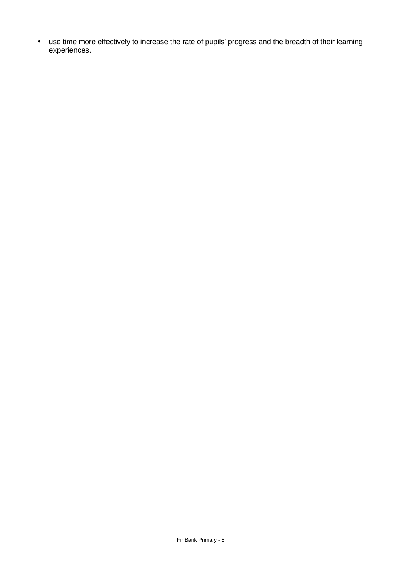• use time more effectively to increase the rate of pupils' progress and the breadth of their learning experiences.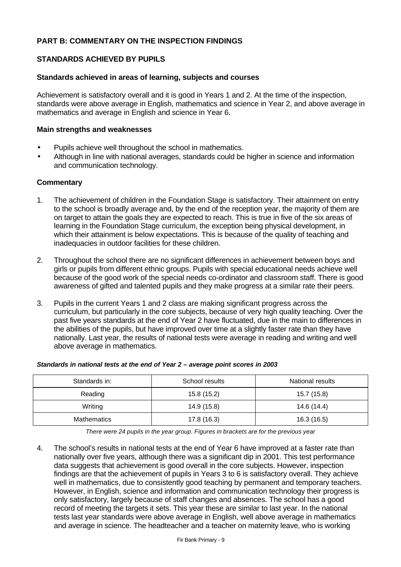# **PART B: COMMENTARY ON THE INSPECTION FINDINGS**

# **STANDARDS ACHIEVED BY PUPILS**

#### **Standards achieved in areas of learning, subjects and courses**

Achievement is satisfactory overall and it is good in Years 1 and 2. At the time of the inspection, standards were above average in English, mathematics and science in Year 2, and above average in mathematics and average in English and science in Year 6.

#### **Main strengths and weaknesses**

- Pupils achieve well throughout the school in mathematics.
- Although in line with national averages, standards could be higher in science and information and communication technology.

#### **Commentary**

- 1. The achievement of children in the Foundation Stage is satisfactory. Their attainment on entry to the school is broadly average and, by the end of the reception year, the majority of them are on target to attain the goals they are expected to reach. This is true in five of the six areas of learning in the Foundation Stage curriculum, the exception being physical development, in which their attainment is below expectations. This is because of the quality of teaching and inadequacies in outdoor facilities for these children.
- 2. Throughout the school there are no significant differences in achievement between boys and girls or pupils from different ethnic groups. Pupils with special educational needs achieve well because of the good work of the special needs co-ordinator and classroom staff. There is good awareness of gifted and talented pupils and they make progress at a similar rate their peers.
- 3. Pupils in the current Years 1 and 2 class are making significant progress across the curriculum, but particularly in the core subjects, because of very high quality teaching. Over the past five years standards at the end of Year 2 have fluctuated, due in the main to differences in the abilities of the pupils, but have improved over time at a slightly faster rate than they have nationally. Last year, the results of national tests were average in reading and writing and well above average in mathematics.

| Standards in: | School results | National results |
|---------------|----------------|------------------|
| Reading       | 15.8 (15.2)    | 15.7 (15.8)      |
| Writing       | 14.9 (15.8)    | 14.6 (14.4)      |
| Mathematics   | 17.8 (16.3)    | 16.3 (16.5)      |

#### *Standards in national tests at the end of Year 2 – average point scores in 2003*

*There were 24 pupils in the year group. Figures in brackets are for the previous year*

4. The school's results in national tests at the end of Year 6 have improved at a faster rate than nationally over five years, although there was a significant dip in 2001. This test performance data suggests that achievement is good overall in the core subjects. However, inspection findings are that the achievement of pupils in Years 3 to 6 is satisfactory overall. They achieve well in mathematics, due to consistently good teaching by permanent and temporary teachers. However, in English, science and information and communication technology their progress is only satisfactory, largely because of staff changes and absences. The school has a good record of meeting the targets it sets. This year these are similar to last year. In the national tests last year standards were above average in English, well above average in mathematics and average in science. The headteacher and a teacher on maternity leave, who is working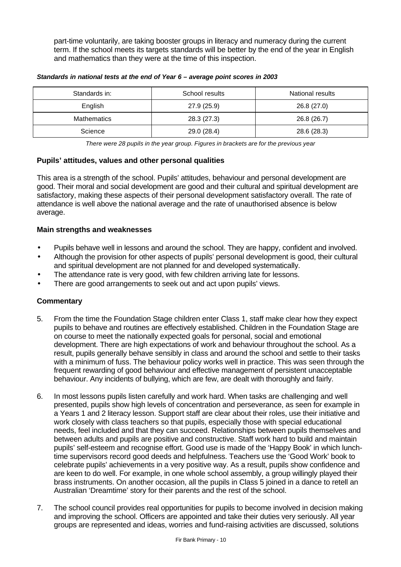part-time voluntarily, are taking booster groups in literacy and numeracy during the current term. If the school meets its targets standards will be better by the end of the year in English and mathematics than they were at the time of this inspection.

| Standards in:      | School results | National results |
|--------------------|----------------|------------------|
| English            | 27.9 (25.9)    | 26.8 (27.0)      |
| <b>Mathematics</b> | 28.3 (27.3)    | 26.8 (26.7)      |
| Science            | 29.0 (28.4)    | 28.6 (28.3)      |

#### *Standards in national tests at the end of Year 6 – average point scores in 2003*

*There were 28 pupils in the year group. Figures in brackets are for the previous year*

#### **Pupils' attitudes, values and other personal qualities**

This area is a strength of the school. Pupils' attitudes, behaviour and personal development are good. Their moral and social development are good and their cultural and spiritual development are satisfactory, making these aspects of their personal development satisfactory overall. The rate of attendance is well above the national average and the rate of unauthorised absence is below average.

## **Main strengths and weaknesses**

- Pupils behave well in lessons and around the school. They are happy, confident and involved.
- Although the provision for other aspects of pupils' personal development is good, their cultural and spiritual development are not planned for and developed systematically.
- The attendance rate is very good, with few children arriving late for lessons.
- There are good arrangements to seek out and act upon pupils' views.

- 5. From the time the Foundation Stage children enter Class 1, staff make clear how they expect pupils to behave and routines are effectively established. Children in the Foundation Stage are on course to meet the nationally expected goals for personal, social and emotional development. There are high expectations of work and behaviour throughout the school. As a result, pupils generally behave sensibly in class and around the school and settle to their tasks with a minimum of fuss. The behaviour policy works well in practice. This was seen through the frequent rewarding of good behaviour and effective management of persistent unacceptable behaviour. Any incidents of bullying, which are few, are dealt with thoroughly and fairly.
- 6. In most lessons pupils listen carefully and work hard. When tasks are challenging and well presented, pupils show high levels of concentration and perseverance, as seen for example in a Years 1 and 2 literacy lesson. Support staff are clear about their roles, use their initiative and work closely with class teachers so that pupils, especially those with special educational needs, feel included and that they can succeed. Relationships between pupils themselves and between adults and pupils are positive and constructive. Staff work hard to build and maintain pupils' self-esteem and recognise effort. Good use is made of the 'Happy Book' in which lunchtime supervisors record good deeds and helpfulness. Teachers use the 'Good Work' book to celebrate pupils' achievements in a very positive way. As a result, pupils show confidence and are keen to do well. For example, in one whole school assembly, a group willingly played their brass instruments. On another occasion, all the pupils in Class 5 joined in a dance to retell an Australian 'Dreamtime' story for their parents and the rest of the school.
- 7. The school council provides real opportunities for pupils to become involved in decision making and improving the school. Officers are appointed and take their duties very seriously. All year groups are represented and ideas, worries and fund-raising activities are discussed, solutions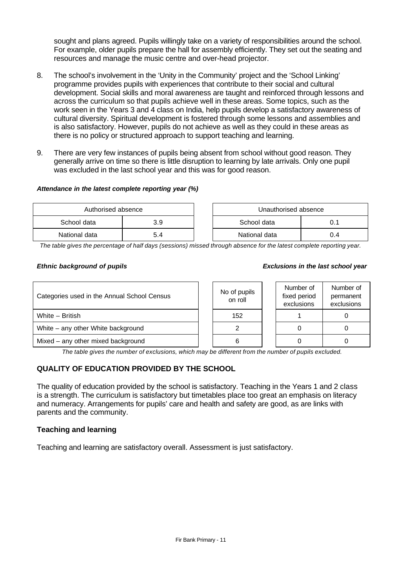sought and plans agreed. Pupils willingly take on a variety of responsibilities around the school. For example, older pupils prepare the hall for assembly efficiently. They set out the seating and resources and manage the music centre and over-head projector.

- 8. The school's involvement in the 'Unity in the Community' project and the 'School Linking' programme provides pupils with experiences that contribute to their social and cultural development. Social skills and moral awareness are taught and reinforced through lessons and across the curriculum so that pupils achieve well in these areas. Some topics, such as the work seen in the Years 3 and 4 class on India, help pupils develop a satisfactory awareness of cultural diversity. Spiritual development is fostered through some lessons and assemblies and is also satisfactory. However, pupils do not achieve as well as they could in these areas as there is no policy or structured approach to support teaching and learning.
- 9. There are very few instances of pupils being absent from school without good reason. They generally arrive on time so there is little disruption to learning by late arrivals. Only one pupil was excluded in the last school year and this was for good reason.

#### *Attendance in the latest complete reporting year (%)*

| Authorised absence |     | Unauthorised absence |     |  |  |
|--------------------|-----|----------------------|-----|--|--|
| School data        | 3.9 | School data          |     |  |  |
| National data      | 5.4 | National data        | J.4 |  |  |

*The table gives the percentage of half days (sessions) missed through absence for the latest complete reporting year.*

#### *Ethnic background of pupils Exclusions in the last school year*

| Categories used in the Annual School Census |  | No of pupils<br>on roll |  | Number of<br>fixed period<br>exclusions | Number of<br>permanent<br>exclusions |
|---------------------------------------------|--|-------------------------|--|-----------------------------------------|--------------------------------------|
| White - British                             |  | 152                     |  |                                         |                                      |
| White – any other White background          |  |                         |  |                                         |                                      |
| Mixed – any other mixed background          |  |                         |  |                                         |                                      |

*The table gives the number of exclusions, which may be different from the number of pupils excluded.*

# **QUALITY OF EDUCATION PROVIDED BY THE SCHOOL**

The quality of education provided by the school is satisfactory. Teaching in the Years 1 and 2 class is a strength. The curriculum is satisfactory but timetables place too great an emphasis on literacy and numeracy. Arrangements for pupils' care and health and safety are good, as are links with parents and the community.

## **Teaching and learning**

Teaching and learning are satisfactory overall. Assessment is just satisfactory.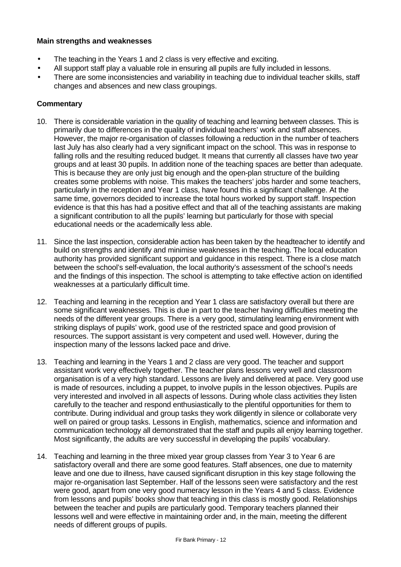## **Main strengths and weaknesses**

- The teaching in the Years 1 and 2 class is very effective and exciting.
- All support staff play a valuable role in ensuring all pupils are fully included in lessons.
- There are some inconsistencies and variability in teaching due to individual teacher skills, staff changes and absences and new class groupings.

- 10. There is considerable variation in the quality of teaching and learning between classes. This is primarily due to differences in the quality of individual teachers' work and staff absences. However, the major re-organisation of classes following a reduction in the number of teachers last July has also clearly had a very significant impact on the school. This was in response to falling rolls and the resulting reduced budget. It means that currently all classes have two year groups and at least 30 pupils. In addition none of the teaching spaces are better than adequate. This is because they are only just big enough and the open-plan structure of the building creates some problems with noise. This makes the teachers' jobs harder and some teachers, particularly in the reception and Year 1 class, have found this a significant challenge. At the same time, governors decided to increase the total hours worked by support staff. Inspection evidence is that this has had a positive effect and that all of the teaching assistants are making a significant contribution to all the pupils' learning but particularly for those with special educational needs or the academically less able.
- 11. Since the last inspection, considerable action has been taken by the headteacher to identify and build on strengths and identify and minimise weaknesses in the teaching. The local education authority has provided significant support and guidance in this respect. There is a close match between the school's self-evaluation, the local authority's assessment of the school's needs and the findings of this inspection. The school is attempting to take effective action on identified weaknesses at a particularly difficult time.
- 12. Teaching and learning in the reception and Year 1 class are satisfactory overall but there are some significant weaknesses. This is due in part to the teacher having difficulties meeting the needs of the different year groups. There is a very good, stimulating learning environment with striking displays of pupils' work, good use of the restricted space and good provision of resources. The support assistant is very competent and used well. However, during the inspection many of the lessons lacked pace and drive.
- 13. Teaching and learning in the Years 1 and 2 class are very good. The teacher and support assistant work very effectively together. The teacher plans lessons very well and classroom organisation is of a very high standard. Lessons are lively and delivered at pace. Very good use is made of resources, including a puppet, to involve pupils in the lesson objectives. Pupils are very interested and involved in all aspects of lessons. During whole class activities they listen carefully to the teacher and respond enthusiastically to the plentiful opportunities for them to contribute. During individual and group tasks they work diligently in silence or collaborate very well on paired or group tasks. Lessons in English, mathematics, science and information and communication technology all demonstrated that the staff and pupils all enjoy learning together. Most significantly, the adults are very successful in developing the pupils' vocabulary.
- 14. Teaching and learning in the three mixed year group classes from Year 3 to Year 6 are satisfactory overall and there are some good features. Staff absences, one due to maternity leave and one due to illness, have caused significant disruption in this key stage following the major re-organisation last September. Half of the lessons seen were satisfactory and the rest were good, apart from one very good numeracy lesson in the Years 4 and 5 class. Evidence from lessons and pupils' books show that teaching in this class is mostly good. Relationships between the teacher and pupils are particularly good. Temporary teachers planned their lessons well and were effective in maintaining order and, in the main, meeting the different needs of different groups of pupils.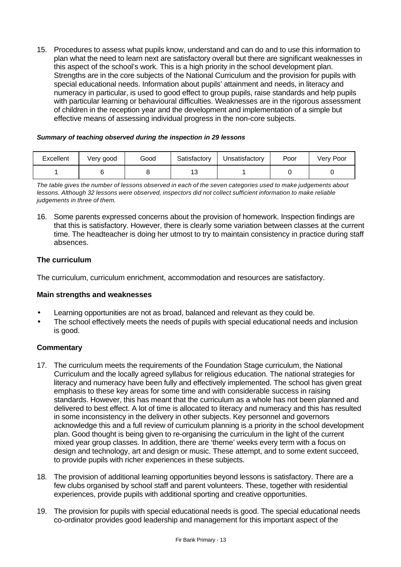15. Procedures to assess what pupils know, understand and can do and to use this information to plan what the need to learn next are satisfactory overall but there are significant weaknesses in this aspect of the school's work. This is a high priority in the school development plan. Strengths are in the core subjects of the National Curriculum and the provision for pupils with special educational needs. Information about pupils' attainment and needs, in literacy and numeracy in particular, is used to good effect to group pupils, raise standards and help pupils with particular learning or behavioural difficulties. Weaknesses are in the rigorous assessment of children in the reception year and the development and implementation of a simple but effective means of assessing individual progress in the non-core subjects.

#### *Summary of teaching observed during the inspection in 29 lessons*

| Excellent | Very good | Good | Satisfactory | Unsatisfactory | Poor | Verv Poor |
|-----------|-----------|------|--------------|----------------|------|-----------|
|           |           |      | ں،           |                |      |           |

*The table gives the number of lessons observed in each of the seven categories used to make judgements about lessons. Although 32 lessons were observed, inspectors did not collect sufficient information to make reliable judgements in three of them.*

16. Some parents expressed concerns about the provision of homework. Inspection findings are that this is satisfactory. However, there is clearly some variation between classes at the current time. The headteacher is doing her utmost to try to maintain consistency in practice during staff absences.

# **The curriculum**

The curriculum, curriculum enrichment, accommodation and resources are satisfactory.

## **Main strengths and weaknesses**

- Learning opportunities are not as broad, balanced and relevant as they could be.
- The school effectively meets the needs of pupils with special educational needs and inclusion is good.

- 17. The curriculum meets the requirements of the Foundation Stage curriculum, the National Curriculum and the locally agreed syllabus for religious education. The national strategies for literacy and numeracy have been fully and effectively implemented. The school has given great emphasis to these key areas for some time and with considerable success in raising standards. However, this has meant that the curriculum as a whole has not been planned and delivered to best effect. A lot of time is allocated to literacy and numeracy and this has resulted in some inconsistency in the delivery in other subjects. Key personnel and governors acknowledge this and a full review of curriculum planning is a priority in the school development plan. Good thought is being given to re-organising the curriculum in the light of the current mixed year group classes. In addition, there are 'theme' weeks every term with a focus on design and technology, art and design or music. These attempt, and to some extent succeed, to provide pupils with richer experiences in these subjects.
- 18. The provision of additional learning opportunities beyond lessons is satisfactory. There are a few clubs organised by school staff and parent volunteers. These, together with residential experiences, provide pupils with additional sporting and creative opportunities.
- 19. The provision for pupils with special educational needs is good. The special educational needs co-ordinator provides good leadership and management for this important aspect of the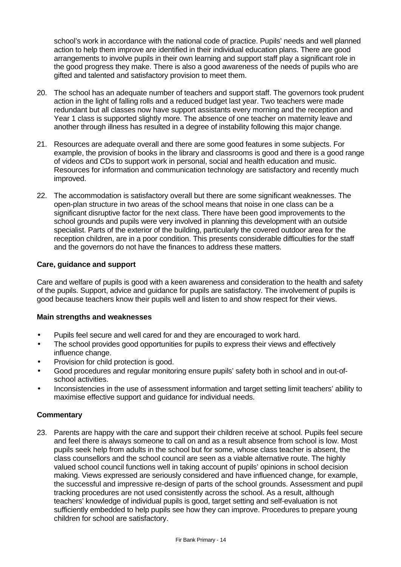school's work in accordance with the national code of practice. Pupils' needs and well planned action to help them improve are identified in their individual education plans. There are good arrangements to involve pupils in their own learning and support staff play a significant role in the good progress they make. There is also a good awareness of the needs of pupils who are gifted and talented and satisfactory provision to meet them.

- 20. The school has an adequate number of teachers and support staff. The governors took prudent action in the light of falling rolls and a reduced budget last year. Two teachers were made redundant but all classes now have support assistants every morning and the reception and Year 1 class is supported slightly more. The absence of one teacher on maternity leave and another through illness has resulted in a degree of instability following this major change.
- 21. Resources are adequate overall and there are some good features in some subjects. For example, the provision of books in the library and classrooms is good and there is a good range of videos and CDs to support work in personal, social and health education and music. Resources for information and communication technology are satisfactory and recently much improved.
- 22. The accommodation is satisfactory overall but there are some significant weaknesses. The open-plan structure in two areas of the school means that noise in one class can be a significant disruptive factor for the next class. There have been good improvements to the school grounds and pupils were very involved in planning this development with an outside specialist. Parts of the exterior of the building, particularly the covered outdoor area for the reception children, are in a poor condition. This presents considerable difficulties for the staff and the governors do not have the finances to address these matters.

# **Care, guidance and support**

Care and welfare of pupils is good with a keen awareness and consideration to the health and safety of the pupils. Support, advice and guidance for pupils are satisfactory. The involvement of pupils is good because teachers know their pupils well and listen to and show respect for their views.

## **Main strengths and weaknesses**

- Pupils feel secure and well cared for and they are encouraged to work hard.
- The school provides good opportunities for pupils to express their views and effectively influence change.
- Provision for child protection is good.
- Good procedures and regular monitoring ensure pupils' safety both in school and in out-ofschool activities.
- Inconsistencies in the use of assessment information and target setting limit teachers' ability to maximise effective support and guidance for individual needs.

## **Commentary**

23. Parents are happy with the care and support their children receive at school. Pupils feel secure and feel there is always someone to call on and as a result absence from school is low. Most pupils seek help from adults in the school but for some, whose class teacher is absent, the class counsellors and the school council are seen as a viable alternative route. The highly valued school council functions well in taking account of pupils' opinions in school decision making. Views expressed are seriously considered and have influenced change, for example, the successful and impressive re-design of parts of the school grounds. Assessment and pupil tracking procedures are not used consistently across the school. As a result, although teachers' knowledge of individual pupils is good, target setting and self-evaluation is not sufficiently embedded to help pupils see how they can improve. Procedures to prepare young children for school are satisfactory.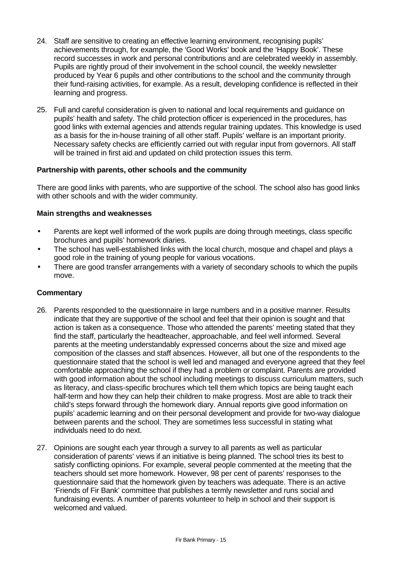- 24. Staff are sensitive to creating an effective learning environment, recognising pupils' achievements through, for example, the 'Good Works' book and the 'Happy Book'. These record successes in work and personal contributions and are celebrated weekly in assembly. Pupils are rightly proud of their involvement in the school council, the weekly newsletter produced by Year 6 pupils and other contributions to the school and the community through their fund-raising activities, for example. As a result, developing confidence is reflected in their learning and progress.
- 25. Full and careful consideration is given to national and local requirements and guidance on pupils' health and safety. The child protection officer is experienced in the procedures, has good links with external agencies and attends regular training updates. This knowledge is used as a basis for the in-house training of all other staff. Pupils' welfare is an important priority. Necessary safety checks are efficiently carried out with regular input from governors. All staff will be trained in first aid and updated on child protection issues this term.

## **Partnership with parents, other schools and the community**

There are good links with parents, who are supportive of the school. The school also has good links with other schools and with the wider community.

#### **Main strengths and weaknesses**

- Parents are kept well informed of the work pupils are doing through meetings, class specific brochures and pupils' homework diaries.
- The school has well-established links with the local church, mosque and chapel and plays a good role in the training of young people for various vocations.
- There are good transfer arrangements with a variety of secondary schools to which the pupils move.

- 26. Parents responded to the questionnaire in large numbers and in a positive manner. Results indicate that they are supportive of the school and feel that their opinion is sought and that action is taken as a consequence. Those who attended the parents' meeting stated that they find the staff, particularly the headteacher, approachable, and feel well informed. Several parents at the meeting understandably expressed concerns about the size and mixed age composition of the classes and staff absences. However, all but one of the respondents to the questionnaire stated that the school is well led and managed and everyone agreed that they feel comfortable approaching the school if they had a problem or complaint. Parents are provided with good information about the school including meetings to discuss curriculum matters, such as literacy, and class-specific brochures which tell them which topics are being taught each half-term and how they can help their children to make progress. Most are able to track their child's steps forward through the homework diary. Annual reports give good information on pupils' academic learning and on their personal development and provide for two-way dialogue between parents and the school. They are sometimes less successful in stating what individuals need to do next.
- 27. Opinions are sought each year through a survey to all parents as well as particular consideration of parents' views if an initiative is being planned. The school tries its best to satisfy conflicting opinions. For example, several people commented at the meeting that the teachers should set more homework. However, 98 per cent of parents' responses to the questionnaire said that the homework given by teachers was adequate. There is an active 'Friends of Fir Bank' committee that publishes a termly newsletter and runs social and fundraising events. A number of parents volunteer to help in school and their support is welcomed and valued.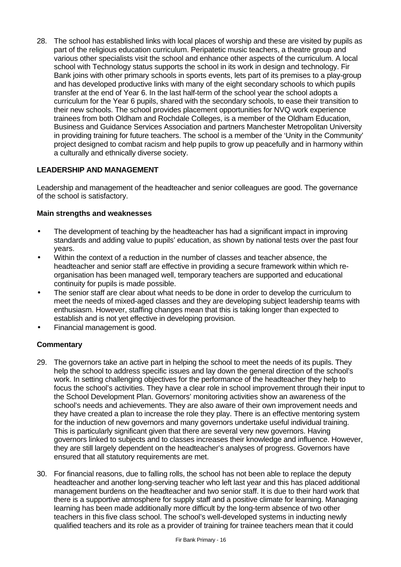28. The school has established links with local places of worship and these are visited by pupils as part of the religious education curriculum. Peripatetic music teachers, a theatre group and various other specialists visit the school and enhance other aspects of the curriculum. A local school with Technology status supports the school in its work in design and technology. Fir Bank joins with other primary schools in sports events, lets part of its premises to a play-group and has developed productive links with many of the eight secondary schools to which pupils transfer at the end of Year 6. In the last half-term of the school year the school adopts a curriculum for the Year 6 pupils, shared with the secondary schools, to ease their transition to their new schools. The school provides placement opportunities for NVQ work experience trainees from both Oldham and Rochdale Colleges, is a member of the Oldham Education, Business and Guidance Services Association and partners Manchester Metropolitan University in providing training for future teachers. The school is a member of the 'Unity in the Community' project designed to combat racism and help pupils to grow up peacefully and in harmony within a culturally and ethnically diverse society.

# **LEADERSHIP AND MANAGEMENT**

Leadership and management of the headteacher and senior colleagues are good. The governance of the school is satisfactory.

#### **Main strengths and weaknesses**

- The development of teaching by the headteacher has had a significant impact in improving standards and adding value to pupils' education, as shown by national tests over the past four years.
- Within the context of a reduction in the number of classes and teacher absence, the headteacher and senior staff are effective in providing a secure framework within which reorganisation has been managed well, temporary teachers are supported and educational continuity for pupils is made possible.
- The senior staff are clear about what needs to be done in order to develop the curriculum to meet the needs of mixed-aged classes and they are developing subject leadership teams with enthusiasm. However, staffing changes mean that this is taking longer than expected to establish and is not yet effective in developing provision.
- Financial management is good.

- 29. The governors take an active part in helping the school to meet the needs of its pupils. They help the school to address specific issues and lay down the general direction of the school's work. In setting challenging objectives for the performance of the headteacher they help to focus the school's activities. They have a clear role in school improvement through their input to the School Development Plan. Governors' monitoring activities show an awareness of the school's needs and achievements. They are also aware of their own improvement needs and they have created a plan to increase the role they play. There is an effective mentoring system for the induction of new governors and many governors undertake useful individual training. This is particularly significant given that there are several very new governors. Having governors linked to subjects and to classes increases their knowledge and influence. However, they are still largely dependent on the headteacher's analyses of progress. Governors have ensured that all statutory requirements are met.
- 30. For financial reasons, due to falling rolls, the school has not been able to replace the deputy headteacher and another long-serving teacher who left last year and this has placed additional management burdens on the headteacher and two senior staff. It is due to their hard work that there is a supportive atmosphere for supply staff and a positive climate for learning. Managing learning has been made additionally more difficult by the long-term absence of two other teachers in this five class school. The school's well-developed systems in inducting newly qualified teachers and its role as a provider of training for trainee teachers mean that it could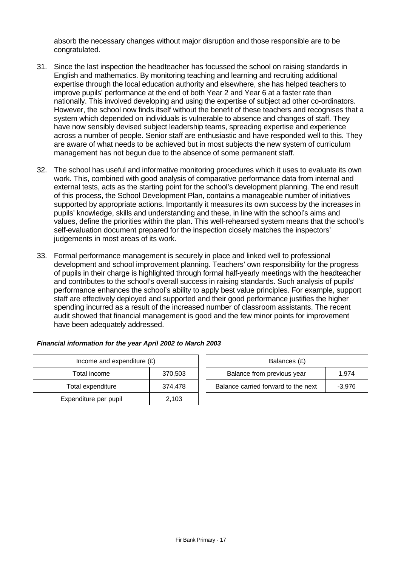absorb the necessary changes without major disruption and those responsible are to be congratulated.

- 31. Since the last inspection the headteacher has focussed the school on raising standards in English and mathematics. By monitoring teaching and learning and recruiting additional expertise through the local education authority and elsewhere, she has helped teachers to improve pupils' performance at the end of both Year 2 and Year 6 at a faster rate than nationally. This involved developing and using the expertise of subject ad other co-ordinators. However, the school now finds itself without the benefit of these teachers and recognises that a system which depended on individuals is vulnerable to absence and changes of staff. They have now sensibly devised subject leadership teams, spreading expertise and experience across a number of people. Senior staff are enthusiastic and have responded well to this. They are aware of what needs to be achieved but in most subjects the new system of curriculum management has not begun due to the absence of some permanent staff.
- 32. The school has useful and informative monitoring procedures which it uses to evaluate its own work. This, combined with good analysis of comparative performance data from internal and external tests, acts as the starting point for the school's development planning. The end result of this process, the School Development Plan, contains a manageable number of initiatives supported by appropriate actions. Importantly it measures its own success by the increases in pupils' knowledge, skills and understanding and these, in line with the school's aims and values, define the priorities within the plan. This well-rehearsed system means that the school's self-evaluation document prepared for the inspection closely matches the inspectors' judgements in most areas of its work.
- 33. Formal performance management is securely in place and linked well to professional development and school improvement planning. Teachers' own responsibility for the progress of pupils in their charge is highlighted through formal half-yearly meetings with the headteacher and contributes to the school's overall success in raising standards. Such analysis of pupils' performance enhances the school's ability to apply best value principles. For example, support staff are effectively deployed and supported and their good performance justifies the higher spending incurred as a result of the increased number of classroom assistants. The recent audit showed that financial management is good and the few minor points for improvement have been adequately addressed.

| Income and expenditure $(E)$ |         |  | Balances (£)                   |
|------------------------------|---------|--|--------------------------------|
| Total income                 | 370,503 |  | Balance from previous year     |
| Total expenditure            | 374.478 |  | Balance carried forward to the |
| Expenditure per pupil        | 2,103   |  |                                |

| Financial information for the year April 2002 to March 2003 |  |
|-------------------------------------------------------------|--|
|                                                             |  |

| Income and expenditure $(E)$<br>Balances (£)                                  |  |
|-------------------------------------------------------------------------------|--|
| Balance from previous year<br>Total income<br>370.503<br>1.974                |  |
| Balance carried forward to the next<br>374.478<br>Total expenditure<br>-3.976 |  |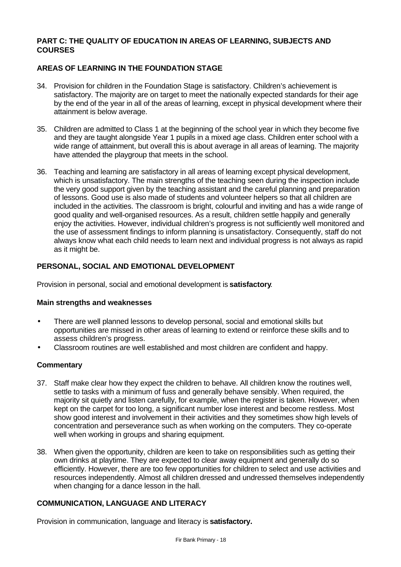# **PART C: THE QUALITY OF EDUCATION IN AREAS OF LEARNING, SUBJECTS AND COURSES**

# **AREAS OF LEARNING IN THE FOUNDATION STAGE**

- 34. Provision for children in the Foundation Stage is satisfactory. Children's achievement is satisfactory. The majority are on target to meet the nationally expected standards for their age by the end of the year in all of the areas of learning, except in physical development where their attainment is below average.
- 35. Children are admitted to Class 1 at the beginning of the school year in which they become five and they are taught alongside Year 1 pupils in a mixed age class. Children enter school with a wide range of attainment, but overall this is about average in all areas of learning. The majority have attended the playgroup that meets in the school.
- 36. Teaching and learning are satisfactory in all areas of learning except physical development, which is unsatisfactory. The main strengths of the teaching seen during the inspection include the very good support given by the teaching assistant and the careful planning and preparation of lessons. Good use is also made of students and volunteer helpers so that all children are included in the activities. The classroom is bright, colourful and inviting and has a wide range of good quality and well-organised resources. As a result, children settle happily and generally enjoy the activities. However, individual children's progress is not sufficiently well monitored and the use of assessment findings to inform planning is unsatisfactory. Consequently, staff do not always know what each child needs to learn next and individual progress is not always as rapid as it might be.

# **PERSONAL, SOCIAL AND EMOTIONAL DEVELOPMENT**

Provision in personal, social and emotional development is **satisfactory**.

#### **Main strengths and weaknesses**

- There are well planned lessons to develop personal, social and emotional skills but opportunities are missed in other areas of learning to extend or reinforce these skills and to assess children's progress.
- Classroom routines are well established and most children are confident and happy.

## **Commentary**

- 37. Staff make clear how they expect the children to behave. All children know the routines well, settle to tasks with a minimum of fuss and generally behave sensibly. When required, the majority sit quietly and listen carefully, for example, when the register is taken. However, when kept on the carpet for too long, a significant number lose interest and become restless. Most show good interest and involvement in their activities and they sometimes show high levels of concentration and perseverance such as when working on the computers. They co-operate well when working in groups and sharing equipment.
- 38. When given the opportunity, children are keen to take on responsibilities such as getting their own drinks at playtime. They are expected to clear away equipment and generally do so efficiently. However, there are too few opportunities for children to select and use activities and resources independently. Almost all children dressed and undressed themselves independently when changing for a dance lesson in the hall.

## **COMMUNICATION, LANGUAGE AND LITERACY**

Provision in communication, language and literacy is **satisfactory.**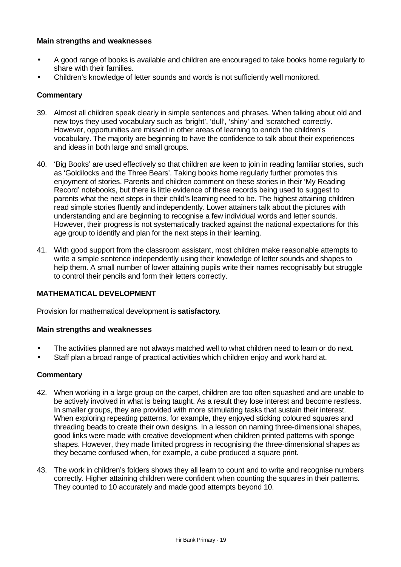## **Main strengths and weaknesses**

- A good range of books is available and children are encouraged to take books home regularly to share with their families.
- Children's knowledge of letter sounds and words is not sufficiently well monitored.

#### **Commentary**

- 39. Almost all children speak clearly in simple sentences and phrases. When talking about old and new toys they used vocabulary such as 'bright', 'dull', 'shiny' and 'scratched' correctly. However, opportunities are missed in other areas of learning to enrich the children's vocabulary. The majority are beginning to have the confidence to talk about their experiences and ideas in both large and small groups.
- 40. 'Big Books' are used effectively so that children are keen to join in reading familiar stories, such as 'Goldilocks and the Three Bears'. Taking books home regularly further promotes this enjoyment of stories. Parents and children comment on these stories in their 'My Reading Record' notebooks, but there is little evidence of these records being used to suggest to parents what the next steps in their child's learning need to be. The highest attaining children read simple stories fluently and independently. Lower attainers talk about the pictures with understanding and are beginning to recognise a few individual words and letter sounds. However, their progress is not systematically tracked against the national expectations for this age group to identify and plan for the next steps in their learning.
- 41. With good support from the classroom assistant, most children make reasonable attempts to write a simple sentence independently using their knowledge of letter sounds and shapes to help them. A small number of lower attaining pupils write their names recognisably but struggle to control their pencils and form their letters correctly.

## **MATHEMATICAL DEVELOPMENT**

Provision for mathematical development is **satisfactory**.

#### **Main strengths and weaknesses**

- The activities planned are not always matched well to what children need to learn or do next.
- Staff plan a broad range of practical activities which children enjoy and work hard at.

- 42. When working in a large group on the carpet, children are too often squashed and are unable to be actively involved in what is being taught. As a result they lose interest and become restless. In smaller groups, they are provided with more stimulating tasks that sustain their interest. When exploring repeating patterns, for example, they enjoyed sticking coloured squares and threading beads to create their own designs. In a lesson on naming three-dimensional shapes, good links were made with creative development when children printed patterns with sponge shapes. However, they made limited progress in recognising the three-dimensional shapes as they became confused when, for example, a cube produced a square print.
- 43. The work in children's folders shows they all learn to count and to write and recognise numbers correctly. Higher attaining children were confident when counting the squares in their patterns. They counted to 10 accurately and made good attempts beyond 10.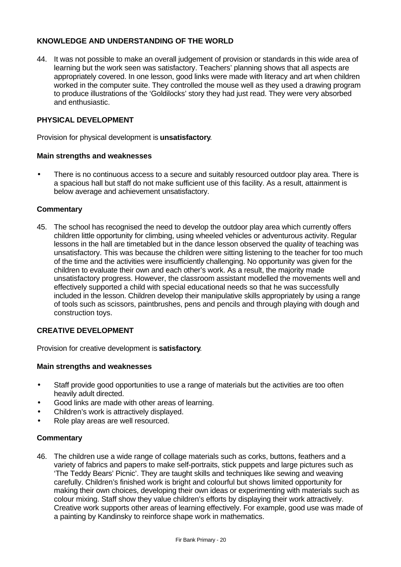# **KNOWLEDGE AND UNDERSTANDING OF THE WORLD**

44. It was not possible to make an overall judgement of provision or standards in this wide area of learning but the work seen was satisfactory. Teachers' planning shows that all aspects are appropriately covered. In one lesson, good links were made with literacy and art when children worked in the computer suite. They controlled the mouse well as they used a drawing program to produce illustrations of the 'Goldilocks' story they had just read. They were very absorbed and enthusiastic.

## **PHYSICAL DEVELOPMENT**

Provision for physical development is **unsatisfactory**.

#### **Main strengths and weaknesses**

• There is no continuous access to a secure and suitably resourced outdoor play area. There is a spacious hall but staff do not make sufficient use of this facility. As a result, attainment is below average and achievement unsatisfactory.

#### **Commentary**

45. The school has recognised the need to develop the outdoor play area which currently offers children little opportunity for climbing, using wheeled vehicles or adventurous activity. Regular lessons in the hall are timetabled but in the dance lesson observed the quality of teaching was unsatisfactory. This was because the children were sitting listening to the teacher for too much of the time and the activities were insufficiently challenging. No opportunity was given for the children to evaluate their own and each other's work. As a result, the majority made unsatisfactory progress. However, the classroom assistant modelled the movements well and effectively supported a child with special educational needs so that he was successfully included in the lesson. Children develop their manipulative skills appropriately by using a range of tools such as scissors, paintbrushes, pens and pencils and through playing with dough and construction toys.

#### **CREATIVE DEVELOPMENT**

Provision for creative development is **satisfactory**.

#### **Main strengths and weaknesses**

- Staff provide good opportunities to use a range of materials but the activities are too often heavily adult directed.
- Good links are made with other areas of learning.
- Children's work is attractively displayed.
- Role play areas are well resourced.

#### **Commentary**

46. The children use a wide range of collage materials such as corks, buttons, feathers and a variety of fabrics and papers to make self-portraits, stick puppets and large pictures such as 'The Teddy Bears' Picnic'. They are taught skills and techniques like sewing and weaving carefully. Children's finished work is bright and colourful but shows limited opportunity for making their own choices, developing their own ideas or experimenting with materials such as colour mixing. Staff show they value children's efforts by displaying their work attractively. Creative work supports other areas of learning effectively. For example, good use was made of a painting by Kandinsky to reinforce shape work in mathematics.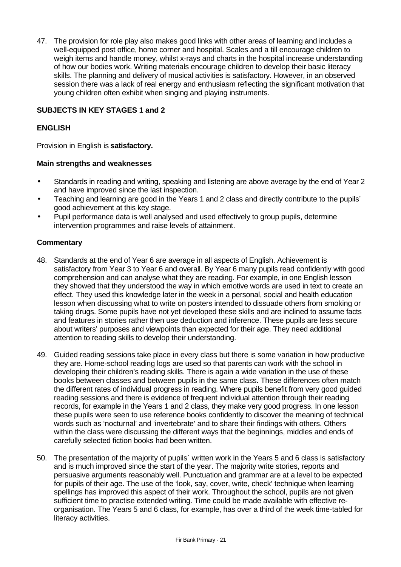47. The provision for role play also makes good links with other areas of learning and includes a well-equipped post office, home corner and hospital. Scales and a till encourage children to weigh items and handle money, whilst x-rays and charts in the hospital increase understanding of how our bodies work. Writing materials encourage children to develop their basic literacy skills. The planning and delivery of musical activities is satisfactory. However, in an observed session there was a lack of real energy and enthusiasm reflecting the significant motivation that young children often exhibit when singing and playing instruments.

## **SUBJECTS IN KEY STAGES 1 and 2**

## **ENGLISH**

Provision in English is **satisfactory.**

#### **Main strengths and weaknesses**

- Standards in reading and writing, speaking and listening are above average by the end of Year 2 and have improved since the last inspection.
- Teaching and learning are good in the Years 1 and 2 class and directly contribute to the pupils' good achievement at this key stage.
- Pupil performance data is well analysed and used effectively to group pupils, determine intervention programmes and raise levels of attainment.

- 48. Standards at the end of Year 6 are average in all aspects of English. Achievement is satisfactory from Year 3 to Year 6 and overall. By Year 6 many pupils read confidently with good comprehension and can analyse what they are reading. For example, in one English lesson they showed that they understood the way in which emotive words are used in text to create an effect. They used this knowledge later in the week in a personal, social and health education lesson when discussing what to write on posters intended to dissuade others from smoking or taking drugs. Some pupils have not yet developed these skills and are inclined to assume facts and features in stories rather then use deduction and inference. These pupils are less secure about writers' purposes and viewpoints than expected for their age. They need additional attention to reading skills to develop their understanding.
- 49. Guided reading sessions take place in every class but there is some variation in how productive they are. Home-school reading logs are used so that parents can work with the school in developing their children's reading skills. There is again a wide variation in the use of these books between classes and between pupils in the same class. These differences often match the different rates of individual progress in reading. Where pupils benefit from very good guided reading sessions and there is evidence of frequent individual attention through their reading records, for example in the Years 1 and 2 class, they make very good progress. In one lesson these pupils were seen to use reference books confidently to discover the meaning of technical words such as 'nocturnal' and 'invertebrate' and to share their findings with others. Others within the class were discussing the different ways that the beginnings, middles and ends of carefully selected fiction books had been written.
- 50. The presentation of the majority of pupils` written work in the Years 5 and 6 class is satisfactory and is much improved since the start of the year. The majority write stories, reports and persuasive arguments reasonably well. Punctuation and grammar are at a level to be expected for pupils of their age. The use of the 'look, say, cover, write, check' technique when learning spellings has improved this aspect of their work. Throughout the school, pupils are not given sufficient time to practise extended writing. Time could be made available with effective reorganisation. The Years 5 and 6 class, for example, has over a third of the week time-tabled for literacy activities.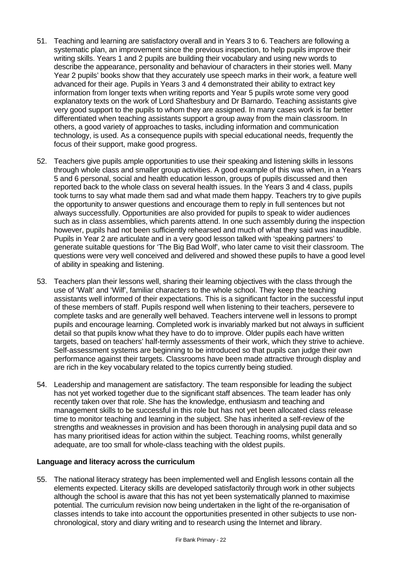- 51. Teaching and learning are satisfactory overall and in Years 3 to 6. Teachers are following a systematic plan, an improvement since the previous inspection, to help pupils improve their writing skills. Years 1 and 2 pupils are building their vocabulary and using new words to describe the appearance, personality and behaviour of characters in their stories well. Many Year 2 pupils' books show that they accurately use speech marks in their work, a feature well advanced for their age. Pupils in Years 3 and 4 demonstrated their ability to extract key information from longer texts when writing reports and Year 5 pupils wrote some very good explanatory texts on the work of Lord Shaftesbury and Dr Barnardo. Teaching assistants give very good support to the pupils to whom they are assigned. In many cases work is far better differentiated when teaching assistants support a group away from the main classroom. In others, a good variety of approaches to tasks, including information and communication technology, is used. As a consequence pupils with special educational needs, frequently the focus of their support, make good progress.
- 52. Teachers give pupils ample opportunities to use their speaking and listening skills in lessons through whole class and smaller group activities. A good example of this was when, in a Years 5 and 6 personal, social and health education lesson, groups of pupils discussed and then reported back to the whole class on several health issues. In the Years 3 and 4 class, pupils took turns to say what made them sad and what made them happy. Teachers try to give pupils the opportunity to answer questions and encourage them to reply in full sentences but not always successfully. Opportunities are also provided for pupils to speak to wider audiences such as in class assemblies, which parents attend. In one such assembly during the inspection however, pupils had not been sufficiently rehearsed and much of what they said was inaudible. Pupils in Year 2 are articulate and in a very good lesson talked with 'speaking partners' to generate suitable questions for 'The Big Bad Wolf', who later came to visit their classroom. The questions were very well conceived and delivered and showed these pupils to have a good level of ability in speaking and listening.
- 53. Teachers plan their lessons well, sharing their learning objectives with the class through the use of 'Walt' and 'Wilf', familiar characters to the whole school. They keep the teaching assistants well informed of their expectations. This is a significant factor in the successful input of these members of staff. Pupils respond well when listening to their teachers, persevere to complete tasks and are generally well behaved. Teachers intervene well in lessons to prompt pupils and encourage learning. Completed work is invariably marked but not always in sufficient detail so that pupils know what they have to do to improve. Older pupils each have written targets, based on teachers' half-termly assessments of their work, which they strive to achieve. Self-assessment systems are beginning to be introduced so that pupils can judge their own performance against their targets. Classrooms have been made attractive through display and are rich in the key vocabulary related to the topics currently being studied.
- 54. Leadership and management are satisfactory. The team responsible for leading the subject has not yet worked together due to the significant staff absences. The team leader has only recently taken over that role. She has the knowledge, enthusiasm and teaching and management skills to be successful in this role but has not yet been allocated class release time to monitor teaching and learning in the subject. She has inherited a self-review of the strengths and weaknesses in provision and has been thorough in analysing pupil data and so has many prioritised ideas for action within the subject. Teaching rooms, whilst generally adequate, are too small for whole-class teaching with the oldest pupils.

## **Language and literacy across the curriculum**

55. The national literacy strategy has been implemented well and English lessons contain all the elements expected. Literacy skills are developed satisfactorily through work in other subjects although the school is aware that this has not yet been systematically planned to maximise potential. The curriculum revision now being undertaken in the light of the re-organisation of classes intends to take into account the opportunities presented in other subjects to use nonchronological, story and diary writing and to research using the Internet and library.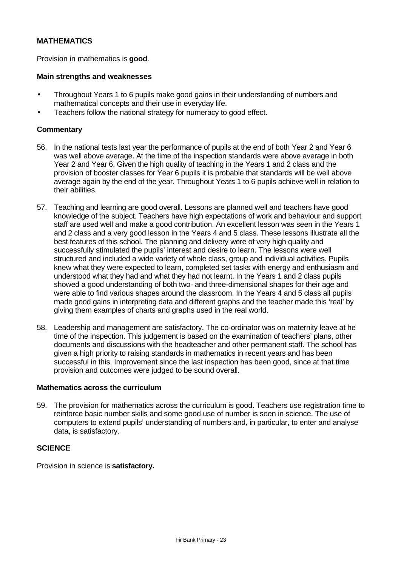# **MATHEMATICS**

Provision in mathematics is **good**.

#### **Main strengths and weaknesses**

- Throughout Years 1 to 6 pupils make good gains in their understanding of numbers and mathematical concepts and their use in everyday life.
- Teachers follow the national strategy for numeracy to good effect.

#### **Commentary**

- 56. In the national tests last year the performance of pupils at the end of both Year 2 and Year 6 was well above average. At the time of the inspection standards were above average in both Year 2 and Year 6. Given the high quality of teaching in the Years 1 and 2 class and the provision of booster classes for Year 6 pupils it is probable that standards will be well above average again by the end of the year. Throughout Years 1 to 6 pupils achieve well in relation to their abilities.
- 57. Teaching and learning are good overall. Lessons are planned well and teachers have good knowledge of the subject. Teachers have high expectations of work and behaviour and support staff are used well and make a good contribution. An excellent lesson was seen in the Years 1 and 2 class and a very good lesson in the Years 4 and 5 class. These lessons illustrate all the best features of this school. The planning and delivery were of very high quality and successfully stimulated the pupils' interest and desire to learn. The lessons were well structured and included a wide variety of whole class, group and individual activities. Pupils knew what they were expected to learn, completed set tasks with energy and enthusiasm and understood what they had and what they had not learnt. In the Years 1 and 2 class pupils showed a good understanding of both two- and three-dimensional shapes for their age and were able to find various shapes around the classroom. In the Years 4 and 5 class all pupils made good gains in interpreting data and different graphs and the teacher made this 'real' by giving them examples of charts and graphs used in the real world.
- 58. Leadership and management are satisfactory. The co-ordinator was on maternity leave at he time of the inspection. This judgement is based on the examination of teachers' plans, other documents and discussions with the headteacher and other permanent staff. The school has given a high priority to raising standards in mathematics in recent years and has been successful in this. Improvement since the last inspection has been good, since at that time provision and outcomes were judged to be sound overall.

## **Mathematics across the curriculum**

59. The provision for mathematics across the curriculum is good. Teachers use registration time to reinforce basic number skills and some good use of number is seen in science. The use of computers to extend pupils' understanding of numbers and, in particular, to enter and analyse data, is satisfactory.

## **SCIENCE**

Provision in science is **satisfactory.**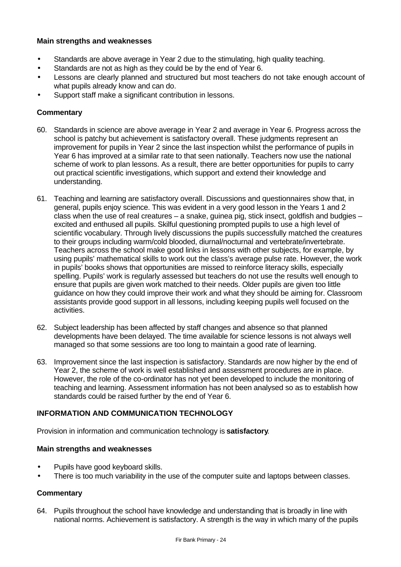## **Main strengths and weaknesses**

- Standards are above average in Year 2 due to the stimulating, high quality teaching.
- Standards are not as high as they could be by the end of Year 6.
- Lessons are clearly planned and structured but most teachers do not take enough account of what pupils already know and can do.
- Support staff make a significant contribution in lessons.

# **Commentary**

- 60. Standards in science are above average in Year 2 and average in Year 6. Progress across the school is patchy but achievement is satisfactory overall. These judgments represent an improvement for pupils in Year 2 since the last inspection whilst the performance of pupils in Year 6 has improved at a similar rate to that seen nationally. Teachers now use the national scheme of work to plan lessons. As a result, there are better opportunities for pupils to carry out practical scientific investigations, which support and extend their knowledge and understanding.
- 61. Teaching and learning are satisfactory overall. Discussions and questionnaires show that, in general, pupils enjoy science. This was evident in a very good lesson in the Years 1 and 2 class when the use of real creatures – a snake, guinea pig, stick insect, goldfish and budgies – excited and enthused all pupils. Skilful questioning prompted pupils to use a high level of scientific vocabulary. Through lively discussions the pupils successfully matched the creatures to their groups including warm/cold blooded, diurnal/nocturnal and vertebrate/invertebrate. Teachers across the school make good links in lessons with other subjects, for example, by using pupils' mathematical skills to work out the class's average pulse rate. However, the work in pupils' books shows that opportunities are missed to reinforce literacy skills, especially spelling. Pupils' work is regularly assessed but teachers do not use the results well enough to ensure that pupils are given work matched to their needs. Older pupils are given too little guidance on how they could improve their work and what they should be aiming for. Classroom assistants provide good support in all lessons, including keeping pupils well focused on the activities.
- 62. Subject leadership has been affected by staff changes and absence so that planned developments have been delayed. The time available for science lessons is not always well managed so that some sessions are too long to maintain a good rate of learning.
- 63. Improvement since the last inspection is satisfactory. Standards are now higher by the end of Year 2, the scheme of work is well established and assessment procedures are in place. However, the role of the co-ordinator has not yet been developed to include the monitoring of teaching and learning. Assessment information has not been analysed so as to establish how standards could be raised further by the end of Year 6.

# **INFORMATION AND COMMUNICATION TECHNOLOGY**

Provision in information and communication technology is **satisfactory**.

## **Main strengths and weaknesses**

- Pupils have good keyboard skills.
- There is too much variability in the use of the computer suite and laptops between classes.

# **Commentary**

64. Pupils throughout the school have knowledge and understanding that is broadly in line with national norms. Achievement is satisfactory. A strength is the way in which many of the pupils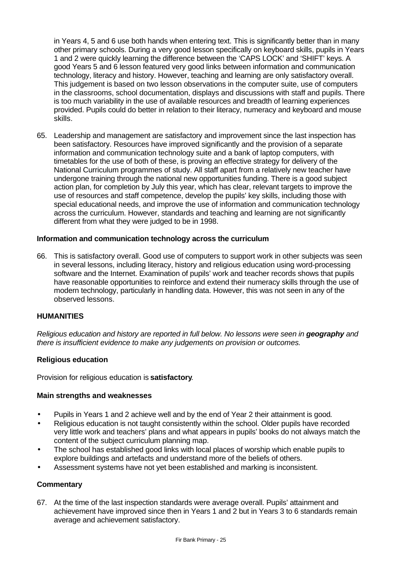in Years 4, 5 and 6 use both hands when entering text. This is significantly better than in many other primary schools. During a very good lesson specifically on keyboard skills, pupils in Years 1 and 2 were quickly learning the difference between the 'CAPS LOCK' and 'SHIFT' keys. A good Years 5 and 6 lesson featured very good links between information and communication technology, literacy and history. However, teaching and learning are only satisfactory overall. This judgement is based on two lesson observations in the computer suite, use of computers in the classrooms, school documentation, displays and discussions with staff and pupils. There is too much variability in the use of available resources and breadth of learning experiences provided. Pupils could do better in relation to their literacy, numeracy and keyboard and mouse skills.

65. Leadership and management are satisfactory and improvement since the last inspection has been satisfactory. Resources have improved significantly and the provision of a separate information and communication technology suite and a bank of laptop computers, with timetables for the use of both of these, is proving an effective strategy for delivery of the National Curriculum programmes of study. All staff apart from a relatively new teacher have undergone training through the national new opportunities funding. There is a good subject action plan, for completion by July this year, which has clear, relevant targets to improve the use of resources and staff competence, develop the pupils' key skills, including those with special educational needs, and improve the use of information and communication technology across the curriculum. However, standards and teaching and learning are not significantly different from what they were judged to be in 1998.

## **Information and communication technology across the curriculum**

66. This is satisfactory overall. Good use of computers to support work in other subjects was seen in several lessons, including literacy, history and religious education using word-processing software and the Internet. Examination of pupils' work and teacher records shows that pupils have reasonable opportunities to reinforce and extend their numeracy skills through the use of modern technology, particularly in handling data. However, this was not seen in any of the observed lessons.

#### **HUMANITIES**

*Religious education and history are reported in full below. No lessons were seen in geography and there is insufficient evidence to make any judgements on provision or outcomes.*

#### **Religious education**

Provision for religious education is **satisfactory**.

#### **Main strengths and weaknesses**

- Pupils in Years 1 and 2 achieve well and by the end of Year 2 their attainment is good*.*
- Religious education is not taught consistently within the school. Older pupils have recorded very little work and teachers' plans and what appears in pupils' books do not always match the content of the subject curriculum planning map.
- The school has established good links with local places of worship which enable pupils to explore buildings and artefacts and understand more of the beliefs of others.
- Assessment systems have not yet been established and marking is inconsistent.

#### **Commentary**

67. At the time of the last inspection standards were average overall. Pupils' attainment and achievement have improved since then in Years 1 and 2 but in Years 3 to 6 standards remain average and achievement satisfactory.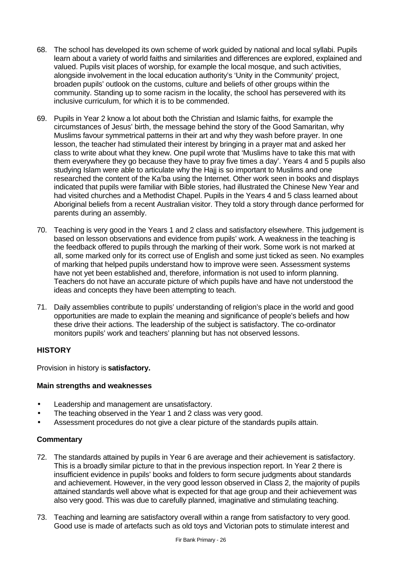- 68. The school has developed its own scheme of work guided by national and local syllabi. Pupils learn about a variety of world faiths and similarities and differences are explored, explained and valued. Pupils visit places of worship, for example the local mosque, and such activities, alongside involvement in the local education authority's 'Unity in the Community' project, broaden pupils' outlook on the customs, culture and beliefs of other groups within the community. Standing up to some racism in the locality, the school has persevered with its inclusive curriculum, for which it is to be commended.
- 69. Pupils in Year 2 know a lot about both the Christian and Islamic faiths, for example the circumstances of Jesus' birth, the message behind the story of the Good Samaritan, why Muslims favour symmetrical patterns in their art and why they wash before prayer. In one lesson, the teacher had stimulated their interest by bringing in a prayer mat and asked her class to write about what they knew. One pupil wrote that 'Muslims have to take this mat with them everywhere they go because they have to pray five times a day'. Years 4 and 5 pupils also studying Islam were able to articulate why the Hajj is so important to Muslims and one researched the content of the Ka'ba using the Internet. Other work seen in books and displays indicated that pupils were familiar with Bible stories, had illustrated the Chinese New Year and had visited churches and a Methodist Chapel. Pupils in the Years 4 and 5 class learned about Aboriginal beliefs from a recent Australian visitor. They told a story through dance performed for parents during an assembly.
- 70. Teaching is very good in the Years 1 and 2 class and satisfactory elsewhere. This judgement is based on lesson observations and evidence from pupils' work. A weakness in the teaching is the feedback offered to pupils through the marking of their work. Some work is not marked at all, some marked only for its correct use of English and some just ticked as seen. No examples of marking that helped pupils understand how to improve were seen. Assessment systems have not yet been established and, therefore, information is not used to inform planning. Teachers do not have an accurate picture of which pupils have and have not understood the ideas and concepts they have been attempting to teach.
- 71. Daily assemblies contribute to pupils' understanding of religion's place in the world and good opportunities are made to explain the meaning and significance of people's beliefs and how these drive their actions. The leadership of the subject is satisfactory. The co-ordinator monitors pupils' work and teachers' planning but has not observed lessons.

# **HISTORY**

Provision in history is **satisfactory.**

# **Main strengths and weaknesses**

- Leadership and management are unsatisfactory.
- The teaching observed in the Year 1 and 2 class was very good.
- Assessment procedures do not give a clear picture of the standards pupils attain.

- 72. The standards attained by pupils in Year 6 are average and their achievement is satisfactory. This is a broadly similar picture to that in the previous inspection report. In Year 2 there is insufficient evidence in pupils' books and folders to form secure judgments about standards and achievement. However, in the very good lesson observed in Class 2, the majority of pupils attained standards well above what is expected for that age group and their achievement was also very good. This was due to carefully planned, imaginative and stimulating teaching.
- 73. Teaching and learning are satisfactory overall within a range from satisfactory to very good. Good use is made of artefacts such as old toys and Victorian pots to stimulate interest and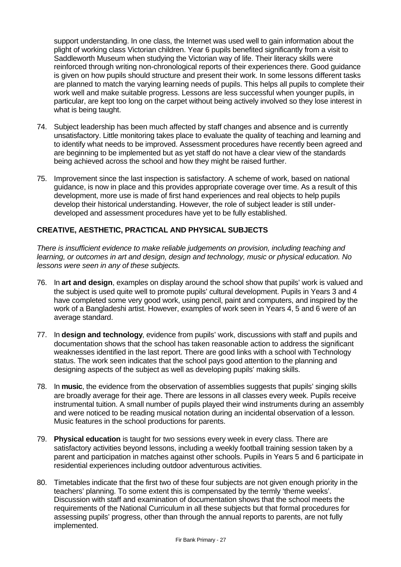support understanding. In one class, the Internet was used well to gain information about the plight of working class Victorian children. Year 6 pupils benefited significantly from a visit to Saddleworth Museum when studying the Victorian way of life. Their literacy skills were reinforced through writing non-chronological reports of their experiences there. Good guidance is given on how pupils should structure and present their work. In some lessons different tasks are planned to match the varying learning needs of pupils. This helps all pupils to complete their work well and make suitable progress. Lessons are less successful when younger pupils, in particular, are kept too long on the carpet without being actively involved so they lose interest in what is being taught.

- 74. Subject leadership has been much affected by staff changes and absence and is currently unsatisfactory. Little monitoring takes place to evaluate the quality of teaching and learning and to identify what needs to be improved. Assessment procedures have recently been agreed and are beginning to be implemented but as yet staff do not have a clear view of the standards being achieved across the school and how they might be raised further.
- 75. Improvement since the last inspection is satisfactory. A scheme of work, based on national guidance, is now in place and this provides appropriate coverage over time. As a result of this development, more use is made of first hand experiences and real objects to help pupils develop their historical understanding. However, the role of subject leader is still underdeveloped and assessment procedures have yet to be fully established.

# **CREATIVE, AESTHETIC, PRACTICAL AND PHYSICAL SUBJECTS**

*There is insufficient evidence to make reliable judgements on provision, including teaching and learning, or outcomes in art and design, design and technology, music or physical education. No lessons were seen in any of these subjects.*

- 76. In **art and design**, examples on display around the school show that pupils' work is valued and the subject is used quite well to promote pupils' cultural development. Pupils in Years 3 and 4 have completed some very good work, using pencil, paint and computers, and inspired by the work of a Bangladeshi artist. However, examples of work seen in Years 4, 5 and 6 were of an average standard.
- 77. In **design and technology**, evidence from pupils' work, discussions with staff and pupils and documentation shows that the school has taken reasonable action to address the significant weaknesses identified in the last report. There are good links with a school with Technology status. The work seen indicates that the school pays good attention to the planning and designing aspects of the subject as well as developing pupils' making skills.
- 78. In **music**, the evidence from the observation of assemblies suggests that pupils' singing skills are broadly average for their age. There are lessons in all classes every week. Pupils receive instrumental tuition. A small number of pupils played their wind instruments during an assembly and were noticed to be reading musical notation during an incidental observation of a lesson. Music features in the school productions for parents.
- 79. **Physical education** is taught for two sessions every week in every class. There are satisfactory activities beyond lessons, including a weekly football training session taken by a parent and participation in matches against other schools. Pupils in Years 5 and 6 participate in residential experiences including outdoor adventurous activities.
- 80. Timetables indicate that the first two of these four subjects are not given enough priority in the teachers' planning. To some extent this is compensated by the termly 'theme weeks'. Discussion with staff and examination of documentation shows that the school meets the requirements of the National Curriculum in all these subjects but that formal procedures for assessing pupils' progress, other than through the annual reports to parents, are not fully implemented.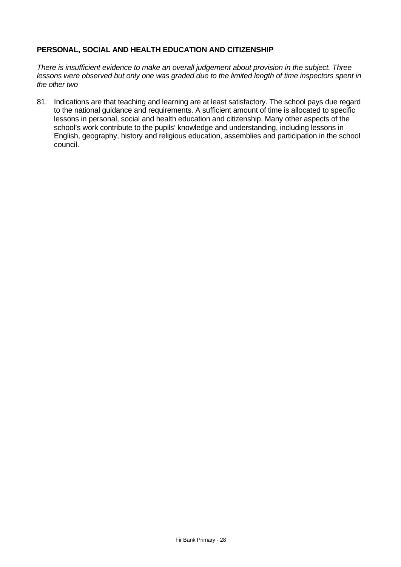# **PERSONAL, SOCIAL AND HEALTH EDUCATION AND CITIZENSHIP**

*There is insufficient evidence to make an overall judgement about provision in the subject. Three lessons were observed but only one was graded due to the limited length of time inspectors spent in the other two*

81. Indications are that teaching and learning are at least satisfactory. The school pays due regard to the national guidance and requirements. A sufficient amount of time is allocated to specific lessons in personal, social and health education and citizenship. Many other aspects of the school's work contribute to the pupils' knowledge and understanding, including lessons in English, geography, history and religious education, assemblies and participation in the school council.